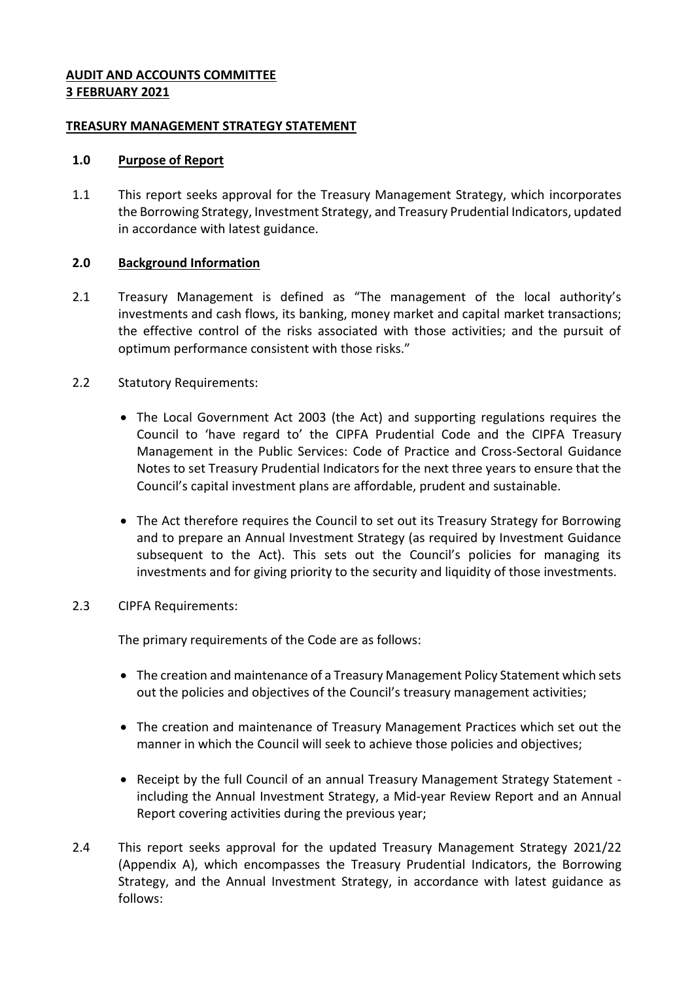### **AUDIT AND ACCOUNTS COMMITTEE 3 FEBRUARY 2021**

### **TREASURY MANAGEMENT STRATEGY STATEMENT**

### **1.0 Purpose of Report**

1.1 This report seeks approval for the Treasury Management Strategy, which incorporates the Borrowing Strategy, Investment Strategy, and Treasury Prudential Indicators, updated in accordance with latest guidance.

# **2.0 Background Information**

- 2.1 Treasury Management is defined as "The management of the local authority's investments and cash flows, its banking, money market and capital market transactions; the effective control of the risks associated with those activities; and the pursuit of optimum performance consistent with those risks."
- 2.2 Statutory Requirements:
	- The Local Government Act 2003 (the Act) and supporting regulations requires the Council to 'have regard to' the CIPFA Prudential Code and the CIPFA Treasury Management in the Public Services: Code of Practice and Cross-Sectoral Guidance Notes to set Treasury Prudential Indicators for the next three years to ensure that the Council's capital investment plans are affordable, prudent and sustainable.
	- The Act therefore requires the Council to set out its Treasury Strategy for Borrowing and to prepare an Annual Investment Strategy (as required by Investment Guidance subsequent to the Act). This sets out the Council's policies for managing its investments and for giving priority to the security and liquidity of those investments.
- 2.3 CIPFA Requirements:

The primary requirements of the Code are as follows:

- The creation and maintenance of a Treasury Management Policy Statement which sets out the policies and objectives of the Council's treasury management activities;
- The creation and maintenance of Treasury Management Practices which set out the manner in which the Council will seek to achieve those policies and objectives;
- Receipt by the full Council of an annual Treasury Management Strategy Statement including the Annual Investment Strategy, a Mid-year Review Report and an Annual Report covering activities during the previous year;
- 2.4 This report seeks approval for the updated Treasury Management Strategy 2021/22 (Appendix A), which encompasses the Treasury Prudential Indicators, the Borrowing Strategy, and the Annual Investment Strategy, in accordance with latest guidance as follows: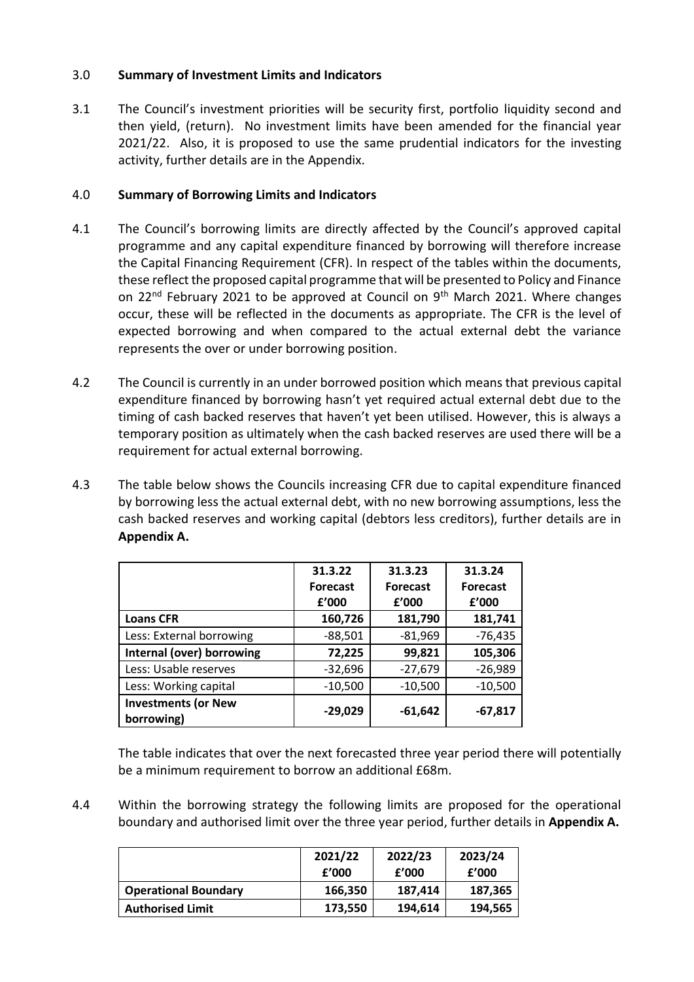# 3.0 **Summary of Investment Limits and Indicators**

3.1 The Council's investment priorities will be security first, portfolio liquidity second and then yield, (return). No investment limits have been amended for the financial year 2021/22. Also, it is proposed to use the same prudential indicators for the investing activity, further details are in the Appendix.

# 4.0 **Summary of Borrowing Limits and Indicators**

- 4.1 The Council's borrowing limits are directly affected by the Council's approved capital programme and any capital expenditure financed by borrowing will therefore increase the Capital Financing Requirement (CFR). In respect of the tables within the documents, these reflect the proposed capital programme that will be presented to Policy and Finance on 22<sup>nd</sup> February 2021 to be approved at Council on  $9<sup>th</sup>$  March 2021. Where changes occur, these will be reflected in the documents as appropriate. The CFR is the level of expected borrowing and when compared to the actual external debt the variance represents the over or under borrowing position.
- 4.2 The Council is currently in an under borrowed position which means that previous capital expenditure financed by borrowing hasn't yet required actual external debt due to the timing of cash backed reserves that haven't yet been utilised. However, this is always a temporary position as ultimately when the cash backed reserves are used there will be a requirement for actual external borrowing.
- 4.3 The table below shows the Councils increasing CFR due to capital expenditure financed by borrowing less the actual external debt, with no new borrowing assumptions, less the cash backed reserves and working capital (debtors less creditors), further details are in **Appendix A.**

|                                          | 31.3.22         | 31.3.23         | 31.3.24         |
|------------------------------------------|-----------------|-----------------|-----------------|
|                                          | <b>Forecast</b> | <b>Forecast</b> | <b>Forecast</b> |
|                                          | f'000           | f'000           | f'000           |
| <b>Loans CFR</b>                         | 160,726         | 181,790         | 181,741         |
| Less: External borrowing                 | $-88,501$       | $-81,969$       | $-76,435$       |
| Internal (over) borrowing                | 72,225          | 99,821          | 105,306         |
| Less: Usable reserves                    | $-32,696$       | $-27,679$       | $-26,989$       |
| Less: Working capital                    | $-10,500$       | $-10,500$       | $-10,500$       |
| <b>Investments (or New</b><br>borrowing) | $-29,029$       | $-61,642$       | $-67,817$       |

The table indicates that over the next forecasted three year period there will potentially be a minimum requirement to borrow an additional £68m.

4.4 Within the borrowing strategy the following limits are proposed for the operational boundary and authorised limit over the three year period, further details in **Appendix A.**

|                             | 2021/22<br>f'000 | 2022/23<br>f'000 | 2023/24<br>£'000 |
|-----------------------------|------------------|------------------|------------------|
| <b>Operational Boundary</b> | 166,350          | 187,414          | 187,365          |
| <b>Authorised Limit</b>     | 173,550          | 194,614          | 194,565          |